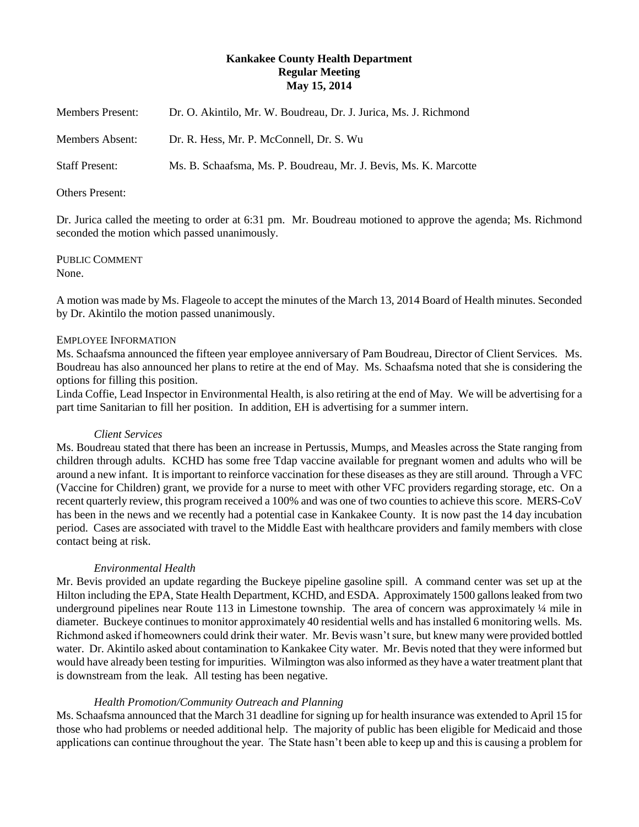# **Kankakee County Health Department Regular Meeting May 15, 2014**

| <b>Members Present:</b> | Dr. O. Akintilo, Mr. W. Boudreau, Dr. J. Jurica, Ms. J. Richmond |
|-------------------------|------------------------------------------------------------------|
| Members Absent:         | Dr. R. Hess, Mr. P. McConnell, Dr. S. Wu                         |
| <b>Staff Present:</b>   | Ms. B. Schaafsma, Ms. P. Boudreau, Mr. J. Bevis, Ms. K. Marcotte |

#### Others Present:

Dr. Jurica called the meeting to order at 6:31 pm. Mr. Boudreau motioned to approve the agenda; Ms. Richmond seconded the motion which passed unanimously.

PUBLIC COMMENT None.

A motion was made by Ms. Flageole to accept the minutes of the March 13, 2014 Board of Health minutes. Seconded by Dr. Akintilo the motion passed unanimously.

## EMPLOYEE INFORMATION

Ms. Schaafsma announced the fifteen year employee anniversary of Pam Boudreau, Director of Client Services. Ms. Boudreau has also announced her plans to retire at the end of May. Ms. Schaafsma noted that she is considering the options for filling this position.

Linda Coffie, Lead Inspector in Environmental Health, is also retiring at the end of May. We will be advertising for a part time Sanitarian to fill her position. In addition, EH is advertising for a summer intern.

#### *Client Services*

Ms. Boudreau stated that there has been an increase in Pertussis, Mumps, and Measles across the State ranging from children through adults. KCHD has some free Tdap vaccine available for pregnant women and adults who will be around a new infant. It is important to reinforce vaccination for these diseases as they are still around. Through a VFC (Vaccine for Children) grant, we provide for a nurse to meet with other VFC providers regarding storage, etc. On a recent quarterly review, this program received a 100% and was one of two counties to achieve this score. MERS-CoV has been in the news and we recently had a potential case in Kankakee County. It is now past the 14 day incubation period. Cases are associated with travel to the Middle East with healthcare providers and family members with close contact being at risk.

## *Environmental Health*

Mr. Bevis provided an update regarding the Buckeye pipeline gasoline spill. A command center was set up at the Hilton including the EPA, State Health Department, KCHD, and ESDA. Approximately 1500 gallons leaked from two underground pipelines near Route 113 in Limestone township. The area of concern was approximately  $\frac{1}{4}$  mile in diameter. Buckeye continues to monitor approximately 40 residential wells and has installed 6 monitoring wells. Ms. Richmond asked if homeowners could drink their water. Mr. Bevis wasn't sure, but knew many were provided bottled water. Dr. Akintilo asked about contamination to Kankakee City water. Mr. Bevis noted that they were informed but would have already been testing for impurities. Wilmington was also informed as they have a water treatment plant that is downstream from the leak. All testing has been negative.

## *Health Promotion/Community Outreach and Planning*

Ms. Schaafsma announced that the March 31 deadline for signing up for health insurance was extended to April 15 for those who had problems or needed additional help. The majority of public has been eligible for Medicaid and those applications can continue throughout the year. The State hasn't been able to keep up and this is causing a problem for